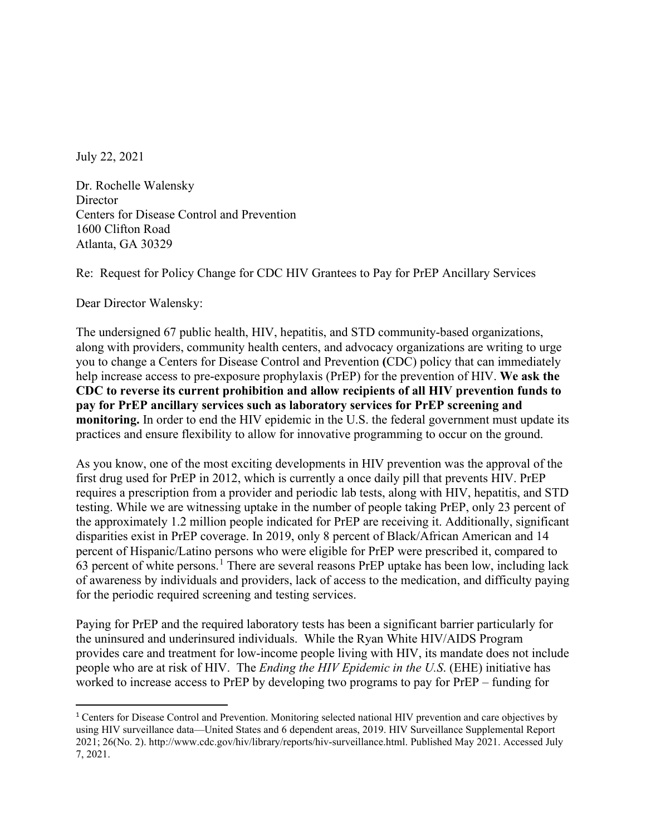July 22, 2021

Dr. Rochelle Walensky **Director** Centers for Disease Control and Prevention 1600 Clifton Road Atlanta, GA 30329

Re: Request for Policy Change for CDC HIV Grantees to Pay for PrEP Ancillary Services

Dear Director Walensky:

The undersigned 67 public health, HIV, hepatitis, and STD community-based organizations, along with providers, community health centers, and advocacy organizations are writing to urge you to change a Centers for Disease Control and Prevention **(**CDC) policy that can immediately help increase access to pre-exposure prophylaxis (PrEP) for the prevention of HIV. **We ask the CDC to reverse its current prohibition and allow recipients of all HIV prevention funds to pay for PrEP ancillary services such as laboratory services for PrEP screening and monitoring.** In order to end the HIV epidemic in the U.S. the federal government must update its practices and ensure flexibility to allow for innovative programming to occur on the ground.

As you know, one of the most exciting developments in HIV prevention was the approval of the first drug used for PrEP in 2012, which is currently a once daily pill that prevents HIV. PrEP requires a prescription from a provider and periodic lab tests, along with HIV, hepatitis, and STD testing. While we are witnessing uptake in the number of people taking PrEP, only 23 percent of the approximately 1.2 million people indicated for PrEP are receiving it. Additionally, significant disparities exist in PrEP coverage. In 2019, only 8 percent of Black/African American and 14 percent of Hispanic/Latino persons who were eligible for PrEP were prescribed it, compared to 63 percent of white persons.<sup>[1](#page-0-0)</sup> There are several reasons PrEP uptake has been low, including lack of awareness by individuals and providers, lack of access to the medication, and difficulty paying for the periodic required screening and testing services.

Paying for PrEP and the required laboratory tests has been a significant barrier particularly for the uninsured and underinsured individuals. While the Ryan White HIV/AIDS Program provides care and treatment for low-income people living with HIV, its mandate does not include people who are at risk of HIV. The *Ending the HIV Epidemic in the U.S*. (EHE) initiative has worked to increase access to PrEP by developing two programs to pay for PrEP – funding for

<span id="page-0-0"></span><sup>&</sup>lt;sup>1</sup> Centers for Disease Control and Prevention. Monitoring selected national HIV prevention and care objectives by using HIV surveillance data—United States and 6 dependent areas, 2019. HIV Surveillance Supplemental Report 2021; 26(No. 2). http://www.cdc.gov/hiv/library/reports/hiv-surveillance.html. Published May 2021. Accessed July 7, 2021.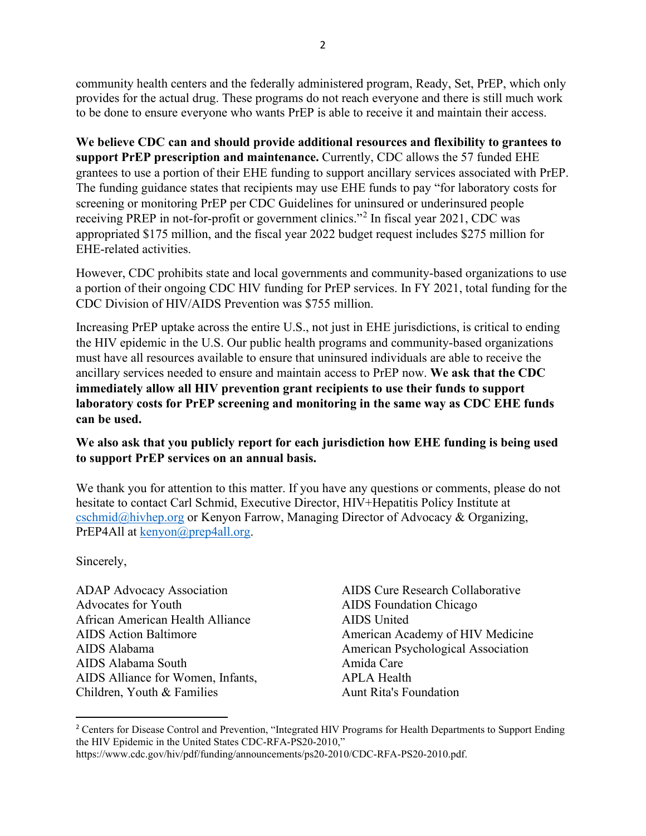community health centers and the federally administered program, Ready, Set, PrEP, which only provides for the actual drug. These programs do not reach everyone and there is still much work to be done to ensure everyone who wants PrEP is able to receive it and maintain their access.

**We believe CDC can and should provide additional resources and flexibility to grantees to support PrEP prescription and maintenance.** Currently, CDC allows the 57 funded EHE grantees to use a portion of their EHE funding to support ancillary services associated with PrEP. The funding guidance states that recipients may use EHE funds to pay "for laboratory costs for screening or monitoring PrEP per CDC Guidelines for uninsured or underinsured people receiving PREP in not-for-profit or government clinics."[2](#page-1-0) In fiscal year 2021, CDC was appropriated \$175 million, and the fiscal year 2022 budget request includes \$275 million for EHE-related activities.

However, CDC prohibits state and local governments and community-based organizations to use a portion of their ongoing CDC HIV funding for PrEP services. In FY 2021, total funding for the CDC Division of HIV/AIDS Prevention was \$755 million.

Increasing PrEP uptake across the entire U.S., not just in EHE jurisdictions, is critical to ending the HIV epidemic in the U.S. Our public health programs and community-based organizations must have all resources available to ensure that uninsured individuals are able to receive the ancillary services needed to ensure and maintain access to PrEP now. **We ask that the CDC immediately allow all HIV prevention grant recipients to use their funds to support laboratory costs for PrEP screening and monitoring in the same way as CDC EHE funds can be used.** 

## **We also ask that you publicly report for each jurisdiction how EHE funding is being used to support PrEP services on an annual basis.**

We thank you for attention to this matter. If you have any questions or comments, please do not hesitate to contact Carl Schmid, Executive Director, HIV+Hepatitis Policy Institute at [cschmid@hivhep.org](mailto:cschmid@hivhep.org) or Kenyon Farrow, Managing Director of Advocacy & Organizing, PrEP4All at [kenyon@prep4all.org.](mailto:kenyon@prep4all.org)

Sincerely,

ADAP Advocacy Association Advocates for Youth African American Health Alliance AIDS Action Baltimore AIDS Alabama AIDS Alabama South AIDS Alliance for Women, Infants, Children, Youth & Families

AIDS Cure Research Collaborative AIDS Foundation Chicago AIDS United American Academy of HIV Medicine American Psychological Association Amida Care APLA Health Aunt Rita's Foundation

<span id="page-1-0"></span><sup>&</sup>lt;sup>2</sup> Centers for Disease Control and Prevention, "Integrated HIV Programs for Health Departments to Support Ending the HIV Epidemic in the United States CDC-RFA-PS20-2010,"

https://www.cdc.gov/hiv/pdf/funding/announcements/ps20-2010/CDC-RFA-PS20-2010.pdf.